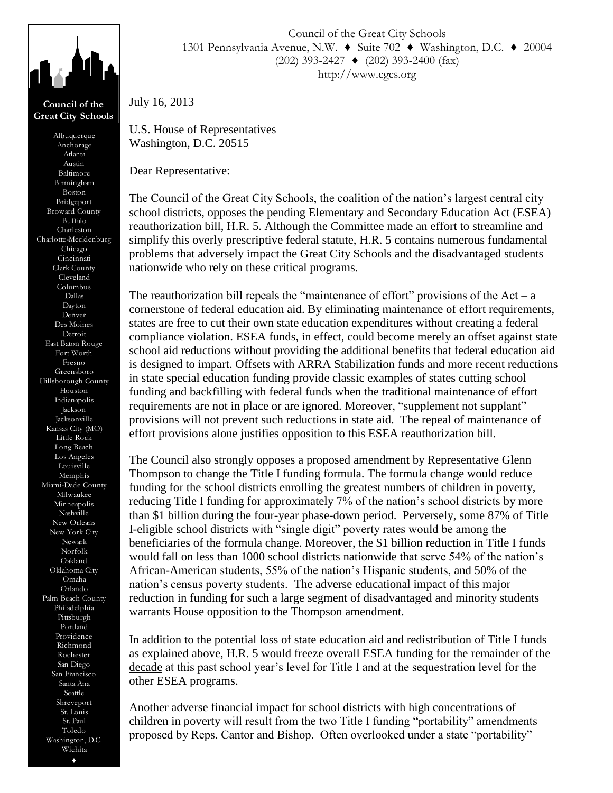

**Council of the Great City Schools**

Anchorage Atlanta Austin Baltimore Birmingham Boston Bridgeport Broward County Buffalo Charleston Charlotte-Mecklenburg Chicago Cincinnati Clark County Cleveland Columbus Dallas Dayton Denver Des Moines Detroit East Baton Rouge Fort Worth Fresno Greensboro Hillsborough County Houston Indianapolis Jackson Jacksonville Kansas City (MO) Little Rock Long Beach Los Angeles Louisville Memphis Miami-Dade County Milwaukee Minneapolis Nashville New Orleans New York City Newark Norfolk Oakland Oklahoma City Omaha Orlando Palm Beach County Philadelphia Pittsburgh Portland Providence Richmond Rochester San Diego San Francisco Santa Ana Seattle Shreveport St. Louis St. Paul Toledo Washington, D.C. Wichita ♦

Council of the Great City Schools 1301 Pennsylvania Avenue, N.W. ♦ Suite 702 ♦ Washington, D.C. ♦ 20004 (202) 393-2427 ♦ (202) 393-2400 (fax) http://www.cgcs.org

U.S. House of Representatives Washington, D.C. 20515

Dear Representative:

July 16, 2013

The Council of the Great City Schools, the coalition of the nation's largest central city school districts, opposes the pending Elementary and Secondary Education Act (ESEA) reauthorization bill, H.R. 5. Although the Committee made an effort to streamline and simplify this overly prescriptive federal statute, H.R. 5 contains numerous fundamental problems that adversely impact the Great City Schools and the disadvantaged students nationwide who rely on these critical programs.

The reauthorization bill repeals the "maintenance of effort" provisions of the  $Act - a$ cornerstone of federal education aid. By eliminating maintenance of effort requirements, states are free to cut their own state education expenditures without creating a federal compliance violation. ESEA funds, in effect, could become merely an offset against state school aid reductions without providing the additional benefits that federal education aid is designed to impart. Offsets with ARRA Stabilization funds and more recent reductions in state special education funding provide classic examples of states cutting school funding and backfilling with federal funds when the traditional maintenance of effort requirements are not in place or are ignored. Moreover, "supplement not supplant" provisions will not prevent such reductions in state aid. The repeal of maintenance of effort provisions alone justifies opposition to this ESEA reauthorization bill.

The Council also strongly opposes a proposed amendment by Representative Glenn Thompson to change the Title I funding formula. The formula change would reduce funding for the school districts enrolling the greatest numbers of children in poverty, reducing Title I funding for approximately 7% of the nation's school districts by more than \$1 billion during the four-year phase-down period. Perversely, some 87% of Title I-eligible school districts with "single digit" poverty rates would be among the beneficiaries of the formula change. Moreover, the \$1 billion reduction in Title I funds would fall on less than 1000 school districts nationwide that serve 54% of the nation's African-American students, 55% of the nation's Hispanic students, and 50% of the nation's census poverty students. The adverse educational impact of this major reduction in funding for such a large segment of disadvantaged and minority students warrants House opposition to the Thompson amendment. Washington, D.C. 20915<br>
Dear Representative:<br>
The Council of the Givest City Schools, the coalition of the notion's largest central can-<br>
The Council of Excelsion bill. IIR. S. Albuquel the Council overlook under a state

In addition to the potential loss of state education aid and redistribution of Title I funds as explained above, H.R. 5 would freeze overall ESEA funding for the remainder of the decade at this past school year's level for Title I and at the sequestration level for the other ESEA programs.

Another adverse financial impact for school districts with high concentrations of children in poverty will result from the two Title I funding "portability" amendments